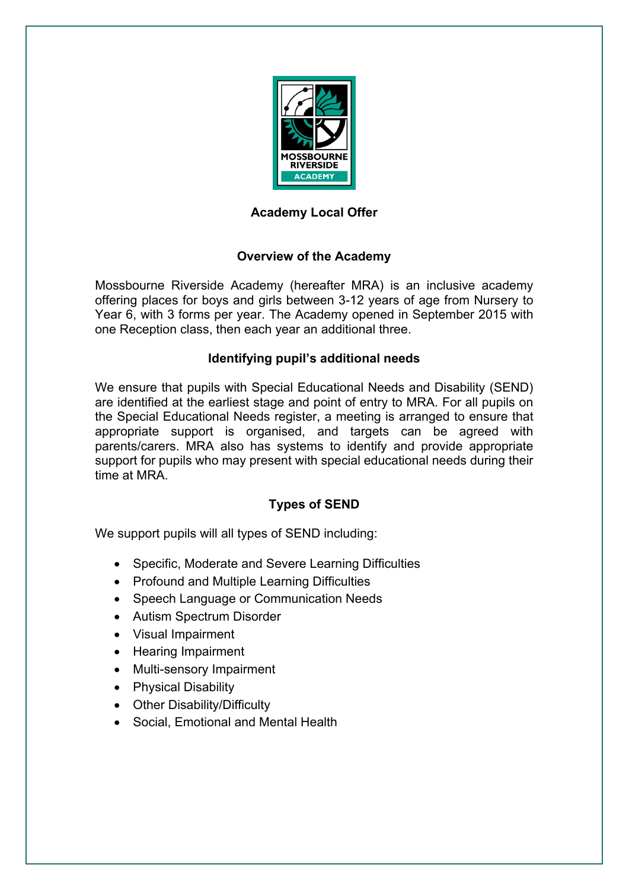

# **Academy Local Offer**

# **Overview of the Academy**

Mossbourne Riverside Academy (hereafter MRA) is an inclusive academy offering places for boys and girls between 3-12 years of age from Nursery to Year 6, with 3 forms per year. The Academy opened in September 2015 with one Reception class, then each year an additional three.

# **Identifying pupil's additional needs**

We ensure that pupils with Special Educational Needs and Disability (SEND) are identified at the earliest stage and point of entry to MRA. For all pupils on the Special Educational Needs register, a meeting is arranged to ensure that appropriate support is organised, and targets can be agreed with parents/carers. MRA also has systems to identify and provide appropriate support for pupils who may present with special educational needs during their time at MRA.

# **Types of SEND**

We support pupils will all types of SEND including:

- Specific, Moderate and Severe Learning Difficulties
- Profound and Multiple Learning Difficulties
- Speech Language or Communication Needs
- Autism Spectrum Disorder
- Visual Impairment
- Hearing Impairment
- Multi-sensory Impairment
- Physical Disability
- Other Disability/Difficulty
- Social, Emotional and Mental Health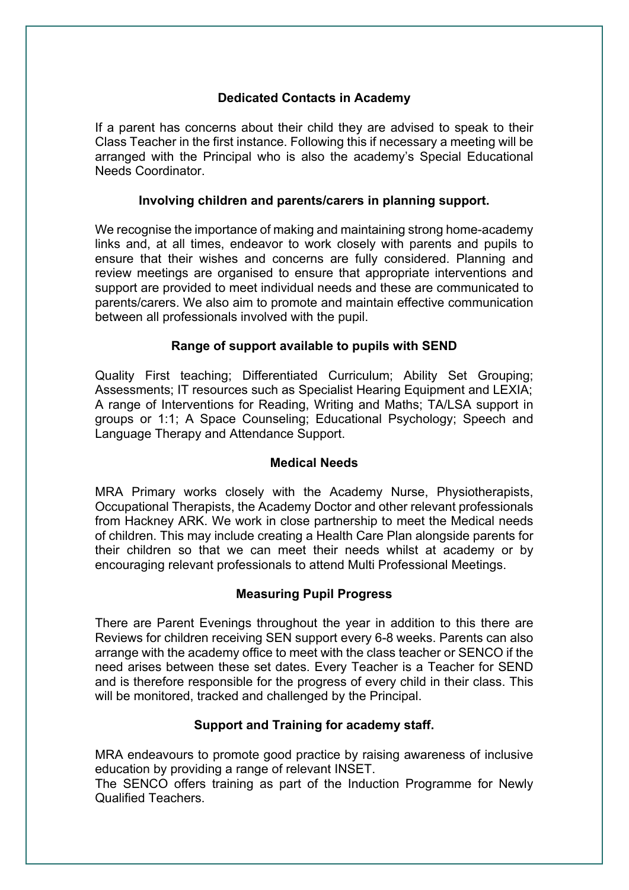#### **Dedicated Contacts in Academy**

If a parent has concerns about their child they are advised to speak to their Class Teacher in the first instance. Following this if necessary a meeting will be arranged with the Principal who is also the academy's Special Educational Needs Coordinator.

#### **Involving children and parents/carers in planning support.**

We recognise the importance of making and maintaining strong home-academy links and, at all times, endeavor to work closely with parents and pupils to ensure that their wishes and concerns are fully considered. Planning and review meetings are organised to ensure that appropriate interventions and support are provided to meet individual needs and these are communicated to parents/carers. We also aim to promote and maintain effective communication between all professionals involved with the pupil.

# **Range of support available to pupils with SEND**

Quality First teaching; Differentiated Curriculum; Ability Set Grouping; Assessments; IT resources such as Specialist Hearing Equipment and LEXIA; A range of Interventions for Reading, Writing and Maths; TA/LSA support in groups or 1:1; A Space Counseling; Educational Psychology; Speech and Language Therapy and Attendance Support.

#### **Medical Needs**

MRA Primary works closely with the Academy Nurse, Physiotherapists, Occupational Therapists, the Academy Doctor and other relevant professionals from Hackney ARK. We work in close partnership to meet the Medical needs of children. This may include creating a Health Care Plan alongside parents for their children so that we can meet their needs whilst at academy or by encouraging relevant professionals to attend Multi Professional Meetings.

# **Measuring Pupil Progress**

There are Parent Evenings throughout the year in addition to this there are Reviews for children receiving SEN support every 6-8 weeks. Parents can also arrange with the academy office to meet with the class teacher or SENCO if the need arises between these set dates. Every Teacher is a Teacher for SEND and is therefore responsible for the progress of every child in their class. This will be monitored, tracked and challenged by the Principal.

# **Support and Training for academy staff.**

MRA endeavours to promote good practice by raising awareness of inclusive education by providing a range of relevant INSET.

The SENCO offers training as part of the Induction Programme for Newly Qualified Teachers.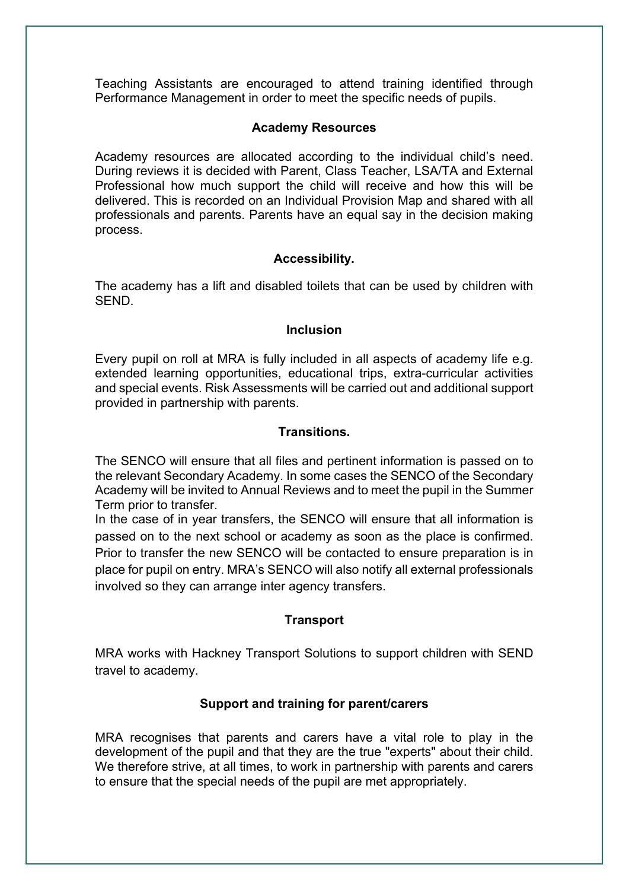Teaching Assistants are encouraged to attend training identified through Performance Management in order to meet the specific needs of pupils.

#### **Academy Resources**

Academy resources are allocated according to the individual child's need. During reviews it is decided with Parent, Class Teacher, LSA/TA and External Professional how much support the child will receive and how this will be delivered. This is recorded on an Individual Provision Map and shared with all professionals and parents. Parents have an equal say in the decision making process.

#### **Accessibility.**

The academy has a lift and disabled toilets that can be used by children with SEND.

#### **Inclusion**

Every pupil on roll at MRA is fully included in all aspects of academy life e.g. extended learning opportunities, educational trips, extra-curricular activities and special events. Risk Assessments will be carried out and additional support provided in partnership with parents.

#### **Transitions.**

The SENCO will ensure that all files and pertinent information is passed on to the relevant Secondary Academy. In some cases the SENCO of the Secondary Academy will be invited to Annual Reviews and to meet the pupil in the Summer Term prior to transfer.

In the case of in year transfers, the SENCO will ensure that all information is passed on to the next school or academy as soon as the place is confirmed. Prior to transfer the new SENCO will be contacted to ensure preparation is in place for pupil on entry. MRA's SENCO will also notify all external professionals involved so they can arrange inter agency transfers.

# **Transport**

MRA works with Hackney Transport Solutions to support children with SEND travel to academy.

# **Support and training for parent/carers**

MRA recognises that parents and carers have a vital role to play in the development of the pupil and that they are the true "experts" about their child. We therefore strive, at all times, to work in partnership with parents and carers to ensure that the special needs of the pupil are met appropriately.